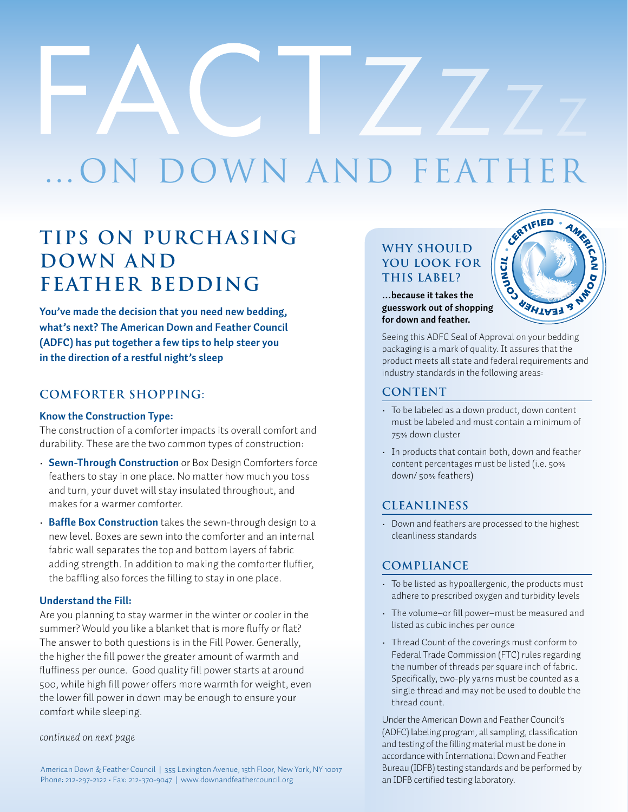# N DOWN AND FEATHER

### **tips on Purchasing Down and Feather bedding**

**You've made the decision that you need new bedding, what's next? The American Down and Feather Council (ADFC) has put together a few tips to help steer you in the direction of a restful night's sleep**

#### **Comforter Shopping:**

#### **Know the Construction Type:**

The construction of a comforter impacts its overall comfort and durability. These are the two common types of construction:

- **· Sewn-Through Construction** or Box Design Comforters force feathers to stay in one place. No matter how much you toss and turn, your duvet will stay insulated throughout, and makes for a warmer comforter.
- **· Baffle Box Construction** takes the sewn-through design to a new level. Boxes are sewn into the comforter and an internal fabric wall separates the top and bottom layers of fabric adding strength. In addition to making the comforter fluffier, the baffling also forces the filling to stay in one place.

#### **Understand the Fill:**

Are you planning to stay warmer in the winter or cooler in the summer? Would you like a blanket that is more fluffy or flat? The answer to both questions is in the Fill Power. Generally, the higher the fill power the greater amount of warmth and fluffiness per ounce. Good quality fill power starts at around 500, while high fill power offers more warmth for weight, even the lower fill power in down may be enough to ensure your comfort while sleeping.

#### *continued on next page*

#### **Why should you look for this label? POU LOOK FOR<br>
THIS LABEL?**<br>
...because it takes the<br>
guesswork out of shopping

**…because it takes the for down and feather.** 



Seeing this ADFC Seal of Approval on your bedding packaging is a mark of quality. It assures that the product meets all state and federal requirements and industry standards in the following areas:

#### **CONTENT**

- To be labeled as a down product, down content must be labeled and must contain a minimum of 75% down cluster
- In products that contain both, down and feather content percentages must be listed (i.e. 50% down/ 50% feathers)

#### **Cleanliness**

• Down and feathers are processed to the highest cleanliness standards

#### **Compliance**

- To be listed as hypoallergenic, the products must adhere to prescribed oxygen and turbidity levels
- The volume-or fill power-must be measured and listed as cubic inches per ounce
- Thread Count of the coverings must conform to Federal Trade Commission (FTC) rules regarding the number of threads per square inch of fabric. Specifically, two-ply yarns must be counted as a single thread and may not be used to double the thread count.

Under the American Down and Feather Council's (ADFC) labeling program, all sampling, classification and testing of the filling material must be done in accordance with International Down and Feather Bureau (IDFB) testing standards and be performed by an IDFB certified testing laboratory.